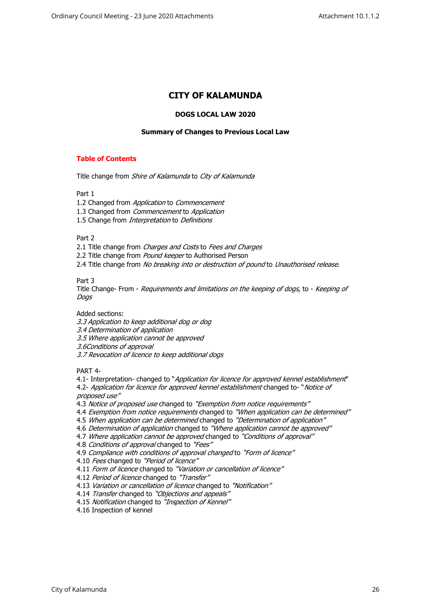# **CITY OF KALAMUNDA**

### **DOGS LOCAL LAW 2020**

### **Summary of Changes to Previous Local Law**

# **Table of Contents**

Title change from *Shire of Kalamunda* to *City of Kalamunda* 

Part 1

- 1.2 Changed from *Application* to *Commencement*
- 1.3 Changed from *Commencement* to *Application*
- 1.5 Change from *Interpretation* to *Definitions*

Part 2

2.1 Title change from *Charges and Costs* to *Fees and Charges*

2.2 Title change from *Pound keeper* to Authorised Person

2.4 Title change from *No breaking into or destruction of pound* to *Unauthorised release*.

Part 3

Title Change- From - *Requirements and limitations on the keeping of dogs*, to - *Keeping of Dogs* 

Added sections:

*3.3 Application to keep additional dog or dog*

*3.4 Determination of application*

*3.5 Where application cannot be approved*

*3.6Conditions of approval*

*3.7 Revocation of licence to keep additional dogs*

PART 4-

4.1- Interpretation- changed to "*Application for licence for approved kennel establishment*" 4.2- *Application for licence for approved kennel establishment* changed to- "*Notice of* 

*proposed use"*

4.3 *Notice of proposed use* changed to *"Exemption from notice requirements"*

4.4 *Exemption from notice requirements* changed to *"When application can be determined"*

4.5 *When application can be determined* changed to *"Determination of application"*

4.6 *Determination of application* changed to *"Where application cannot be approved"*

4.7 *Where application cannot be approved* changed to *"Conditions of approval"*

4.8 *Conditions of approval* changed to *"Fees"*

4.9 *Compliance with conditions of approval changed* to *"Form of licence"*

4.10 *Fees* changed to *"Period of licence"*

4.11 *Form of licence* changed to *"Variation or cancellation of licence"*

4.12 *Period of licence* changed to *"Transfer"*

4.13 *Variation or cancellation of licence* changed to *"Notification"*

4.14 *Transfer* changed to *"Objections and appeals"*

4.15 *Notification* changed to *"Inspection of Kennel"*

4.16 Inspection of kennel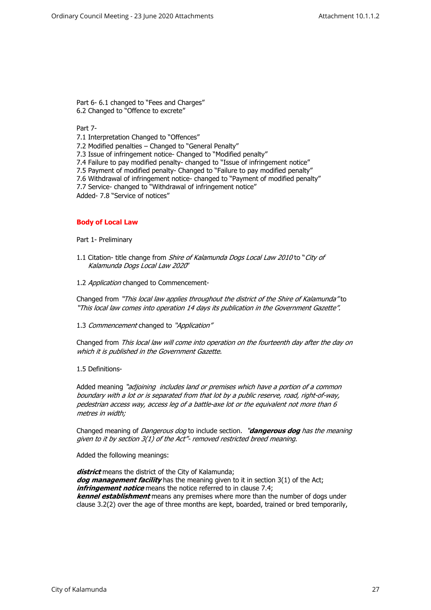Part 6- 6.1 changed to "Fees and Charges" 6.2 Changed to "Offence to excrete"

### Part 7-

7.1 Interpretation Changed to "Offences"

7.2 Modified penalties – Changed to "General Penalty"

7.3 Issue of infringement notice- Changed to "Modified penalty"

7.4 Failure to pay modified penalty- changed to "Issue of infringement notice"

7.5 Payment of modified penalty- Changed to "Failure to pay modified penalty"

- 7.6 Withdrawal of infringement notice- changed to "Payment of modified penalty"
- 7.7 Service- changed to "Withdrawal of infringement notice"

Added- 7.8 "Service of notices"

### **Body of Local Law**

Part 1- Preliminary

- 1.1 Citation- title change from *Shire of Kalamunda Dogs Local Law 2010* to "*City of Kalamunda Dogs Local Law 2020*"
- 1.2 *Application* changed to Commencement-

Changed from *"This local law applies throughout the district of the Shire of Kalamunda"* to *"This local law comes into operation 14 days its publication in the Government Gazette".* 

1.3 *Commencement* changed to *"Application"*

Changed from *This local law will come into operation on the fourteenth day after the day on which it is published in the Government Gazette.*

### 1.5 Definitions-

Added meaning *"adjoining includes land or premises which have a portion of a common boundary with a lot or is separated from that lot by a public reserve, road, right-of-way, pedestrian access way, access leg of a battle-axe lot or the equivalent not more than 6 metres in width;*

Changed meaning of *Dangerous dog* to include section. *"dangerous dog has the meaning given to it by section 3(1) of the Act"- removed restricted breed meaning.* 

Added the following meanings:

*district* means the district of the City of Kalamunda; *dog management facility* has the meaning given to it in section 3(1) of the Act; *infringement notice* means the notice referred to in clause 7.4; *kennel establishment* means any premises where more than the number of dogs under clause 3.2(2) over the age of three months are kept, boarded, trained or bred temporarily,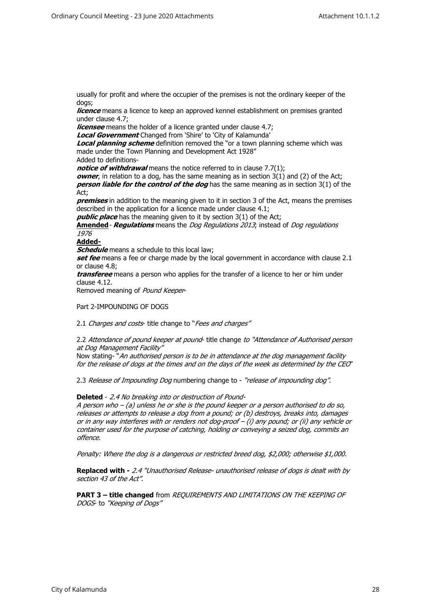usually for profit and where the occupier of the premises is not the ordinary keeper of the dogs;

*licence* means a licence to keep an approved kennel establishment on premises granted under clause 4.7;

*licensee* means the holder of a licence granted under clause 4.7;

*Local Government* Changed from 'Shire' to 'City of Kalamunda'

*Local planning scheme* definition removed the "or a town planning scheme which was made under the Town Planning and Development Act 1928"

Added to definitions-

*notice of withdrawal* means the notice referred to in clause 7.7(1);

*owner*, in relation to a dog, has the same meaning as in section 3(1) and (2) of the Act; *person liable for the control of the dog* has the same meaning as in section 3(1) of the Act;

*premises* in addition to the meaning given to it in section 3 of the Act, means the premises described in the application for a licence made under clause 4.1;

*public place* has the meaning given to it by section 3(1) of the Act;

**Amended***- Regulations* means the *Dog Regulations 2013*; instead of *Dog regulations 1976*

# **Added-**

*Schedule* means a schedule to this local law;

**set fee** means a fee or charge made by the local government in accordance with clause 2.1 or clause 4.8;

*transferee* means a person who applies for the transfer of a licence to her or him under clause 4.12.

Removed meaning of *Pound Keeper*-

#### Part 2-IMPOUNDING OF DOGS

2.1 *Charges and costs*- title change to "*Fees and charges"*

### 2.2 *Attendance of pound keeper at pound*- title change *to "Attendance of Authorised person at Dog Management Facility"*

Now stating- "*An authorised person is to be in attendance at the dog management facility for the release of dogs at the times and on the days of the week as determined by the CEO*"

2.3 *Release of Impounding Dog* numbering change to - *"release of impounding dog".*

**Deleted** - *2.4 No breaking into or destruction of Pound-*

*A person who – (a) unless he or she is the pound keeper or a person authorised to do so, releases or attempts to release a dog from a pound; or (b) destroys, breaks into, damages or in any way interferes with or renders not dog-proof – (i) any pound; or (ii) any vehicle or container used for the purpose of catching, holding or conveying a seized dog, commits an offence.* 

*Penalty: Where the dog is a dangerous or restricted breed dog, \$2,000; otherwise \$1,000.* 

**Replaced with -** *2.4 "Unauthorised Release- unauthorised release of dogs is dealt with by section 43 of the Act".* 

**PART 3 – title changed** from *REQUIREMENTS AND LIMITATIONS ON THE KEEPING OF DOGS*- to *"Keeping of Dogs"*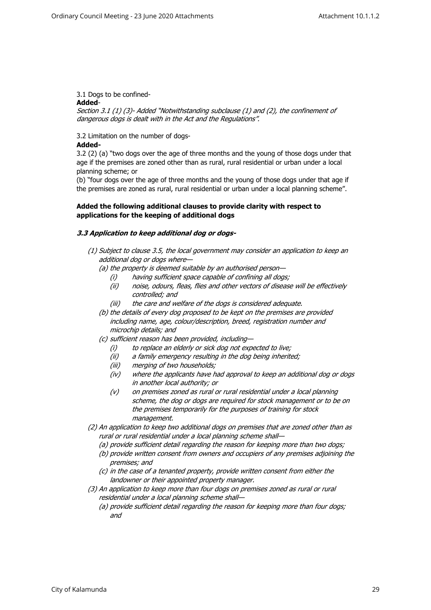# 3.1 Dogs to be confined-

### **Added**-

*Section 3.1 (1) (3)- Added "Notwithstanding subclause (1) and (2), the confinement of dangerous dogs is dealt with in the Act and the Regulations".*

# 3.2 Limitation on the number of dogs-

# **Added-**

3.2 (2) (a) "two dogs over the age of three months and the young of those dogs under that age if the premises are zoned other than as rural, rural residential or urban under a local planning scheme; or

(b) "four dogs over the age of three months and the young of those dogs under that age if the premises are zoned as rural, rural residential or urban under a local planning scheme".

# **Added the following additional clauses to provide clarity with respect to applications for the keeping of additional dogs**

# *3.3 Application to keep additional dog or dogs-*

- *(1) Subject to clause 3.5, the local government may consider an application to keep an additional dog or dogs where—*
	- *(a) the property is deemed suitable by an authorised person—*
		- *(i) having sufficient space capable of confining all dogs;*
		- *(ii) noise, odours, fleas, flies and other vectors of disease will be effectively controlled; and*
		- *(iii) the care and welfare of the dogs is considered adequate.*
	- *(b) the details of every dog proposed to be kept on the premises are provided including name, age, colour/description, breed, registration number and microchip details; and*
	- *(c) sufficient reason has been provided, including—*
		- *(i) to replace an elderly or sick dog not expected to live;*
		- *(ii) a family emergency resulting in the dog being inherited;*
		- *(iii) merging of two households;*
		- *(iv) where the applicants have had approval to keep an additional dog or dogs in another local authority; or*
		- *(v) on premises zoned as rural or rural residential under a local planning scheme, the dog or dogs are required for stock management or to be on the premises temporarily for the purposes of training for stock management.*
- *(2) An application to keep two additional dogs on premises that are zoned other than as rural or rural residential under a local planning scheme shall—*
	- *(a) provide sufficient detail regarding the reason for keeping more than two dogs;*
	- *(b) provide written consent from owners and occupiers of any premises adjoining the premises; and*
	- *(c) in the case of a tenanted property, provide written consent from either the landowner or their appointed property manager.*
- *(3) An application to keep more than four dogs on premises zoned as rural or rural residential under a local planning scheme shall—*
	- *(a) provide sufficient detail regarding the reason for keeping more than four dogs; and*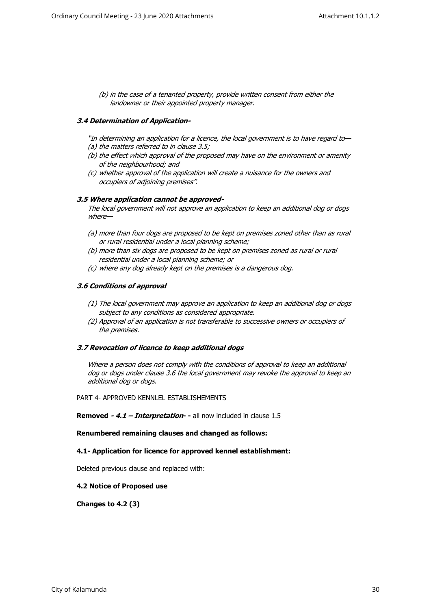*(b) in the case of a tenanted property, provide written consent from either the landowner or their appointed property manager.*

# *3.4 Determination of Application-*

- *"In determining an application for a licence, the local government is to have regard to— (a) the matters referred to in clause 3.5;*
- *(b) the effect which approval of the proposed may have on the environment or amenity of the neighbourhood; and*
- *(c) whether approval of the application will create a nuisance for the owners and occupiers of adjoining premises".*

### *3.5 Where application cannot be approved-*

*The local government will not approve an application to keep an additional dog or dogs where—*

- *(a) more than four dogs are proposed to be kept on premises zoned other than as rural or rural residential under a local planning scheme;*
- *(b) more than six dogs are proposed to be kept on premises zoned as rural or rural residential under a local planning scheme; or*
- *(c) where any dog already kept on the premises is a dangerous dog.*

# *3.6 Conditions of approval*

- *(1) The local government may approve an application to keep an additional dog or dogs subject to any conditions as considered appropriate.*
- *(2) Approval of an application is not transferable to successive owners or occupiers of the premises.*

### *3.7 Revocation of licence to keep additional dogs*

*Where a person does not comply with the conditions of approval to keep an additional dog or dogs under clause 3.6 the local government may revoke the approval to keep an additional dog or dogs.*

PART 4- APPROVED KENNLEL ESTABLISHEMENTS

**Removed - 4.1 – Interpretation** - all now included in clause 1.5

### **Renumbered remaining clauses and changed as follows:**

### **4.1- Application for licence for approved kennel establishment:**

Deleted previous clause and replaced with:

### **4.2 Notice of Proposed use**

**Changes to 4.2 (3)**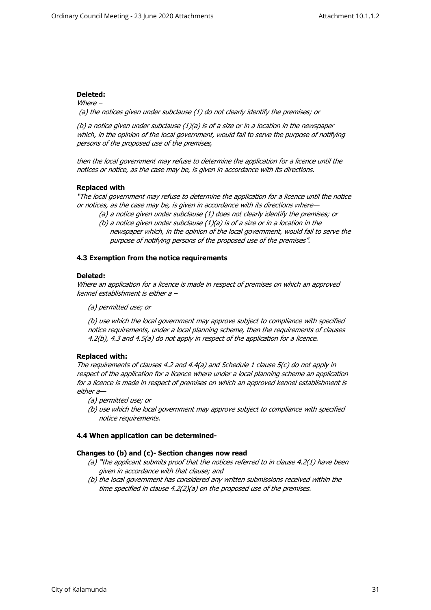# **Deleted:**

*Where – (a) the notices given under subclause (1) do not clearly identify the premises; or* 

*(b) a notice given under subclause (1)(a) is of a size or in a location in the newspaper which, in the opinion of the local government, would fail to serve the purpose of notifying persons of the proposed use of the premises,* 

*then the local government may refuse to determine the application for a licence until the notices or notice, as the case may be, is given in accordance with its directions.* 

# **Replaced with**

*"The local government may refuse to determine the application for a licence until the notice or notices, as the case may be, is given in accordance with its directions where—*

- *(a) a notice given under subclause (1) does not clearly identify the premises; or*
- *(b) a notice given under subclause (1)(a) is of a size or in a location in the newspaper which, in the opinion of the local government, would fail to serve the purpose of notifying persons of the proposed use of the premises".*

# **4.3 Exemption from the notice requirements**

# **Deleted:**

*Where an application for a licence is made in respect of premises on which an approved kennel establishment is either a –* 

*(a) permitted use; or* 

*(b) use which the local government may approve subject to compliance with specified notice requirements, under a local planning scheme, then the requirements of clauses 4.2(b), 4.3 and 4.5(a) do not apply in respect of the application for a licence.* 

# **Replaced with:**

*The requirements of clauses 4.2 and 4.4(a) and Schedule 1 clause 5(c) do not apply in respect of the application for a licence where under a local planning scheme an application for a licence is made in respect of premises on which an approved kennel establishment is either a—*

- *(a) permitted use; or*
- *(b) use which the local government may approve subject to compliance with specified notice requirements.*

# **4.4 When application can be determined-**

### **Changes to (b) and (c)- Section changes now read**

- *(a) "the applicant submits proof that the notices referred to in clause 4.2(1) have been given in accordance with that clause; and*
- *(b) the local government has considered any written submissions received within the time specified in clause 4.2(2)(a) on the proposed use of the premises.*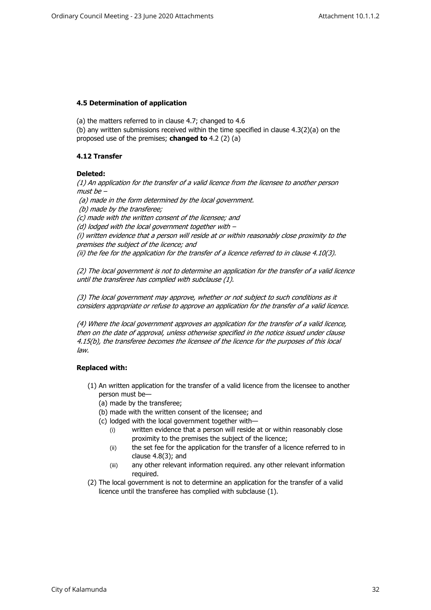# **4.5 Determination of application**

(a) the matters referred to in clause 4.7; changed to 4.6

(b) any written submissions received within the time specified in clause 4.3(2)(a) on the proposed use of the premises; **changed to** 4.2 (2) (a)

# **4.12 Transfer**

# **Deleted:**

*(1) An application for the transfer of a valid licence from the licensee to another person must be –*

 *(a) made in the form determined by the local government.*

 *(b) made by the transferee;* 

*(c) made with the written consent of the licensee; and* 

*(d) lodged with the local government together with –* 

*(i) written evidence that a person will reside at or within reasonably close proximity to the premises the subject of the licence; and*

*(ii) the fee for the application for the transfer of a licence referred to in clause 4.10(3).* 

*(2) The local government is not to determine an application for the transfer of a valid licence until the transferee has complied with subclause (1).* 

*(3) The local government may approve, whether or not subject to such conditions as it considers appropriate or refuse to approve an application for the transfer of a valid licence.* 

*(4) Where the local government approves an application for the transfer of a valid licence, then on the date of approval, unless otherwise specified in the notice issued under clause 4.15(b), the transferee becomes the licensee of the licence for the purposes of this local law.*

# **Replaced with:**

- (1) An written application for the transfer of a valid licence from the licensee to another person must be—
	- (a) made by the transferee;
	- (b) made with the written consent of the licensee; and
	- (c) lodged with the local government together with—
		- (i) written evidence that a person will reside at or within reasonably close proximity to the premises the subject of the licence;
		- (ii) the set fee for the application for the transfer of a licence referred to in clause 4.8(3); and
		- (iii) any other relevant information required. any other relevant information required.
- (2) The local government is not to determine an application for the transfer of a valid licence until the transferee has complied with subclause (1).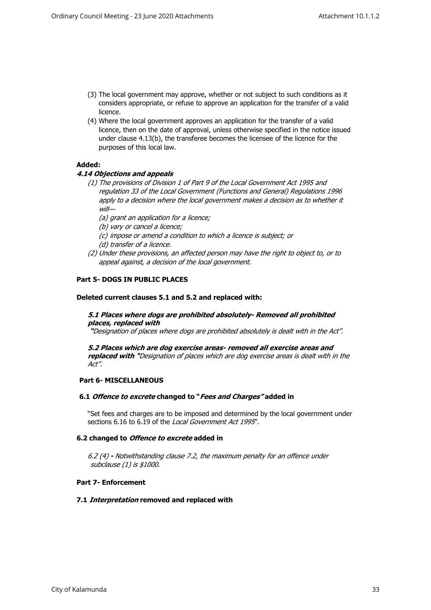- (3) The local government may approve, whether or not subject to such conditions as it considers appropriate, or refuse to approve an application for the transfer of a valid licence.
- (4) Where the local government approves an application for the transfer of a valid licence, then on the date of approval, unless otherwise specified in the notice issued under clause 4.13(b), the transferee becomes the licensee of the licence for the purposes of this local law.

# **Added:**

### *4.14 Objections and appeals*

- *(1) The provisions of Division 1 of Part 9 of the Local Government Act 1995 and regulation 33 of the Local Government (Functions and General) Regulations 1996*  apply to a decision where the local government makes a decision as to whether it *will—*
	- *(a) grant an application for a licence;*
	- *(b) vary or cancel a licence;*
	- *(c) impose or amend a condition to which a licence is subject; or*
	- *(d) transfer of a licence.*
- *(2) Under these provisions, an affected person may have the right to object to, or to appeal against, a decision of the local government.*

# **Part 5- DOGS IN PUBLIC PLACES**

### **Deleted current clauses 5.1 and 5.2 and replaced with:**

# *5.1 Places where dogs are prohibited absolutely- Removed all prohibited places, replaced with*

 *"Designation of places where dogs are prohibited absolutely is dealt with in the Act".* 

*5.2 Places which are dog exercise areas- removed all exercise areas and replaced with "Designation of places which are dog exercise areas is dealt with in the Act".* 

#### **Part 6- MISCELLANEOUS**

### **6.1** *Offence to excrete* **changed to "***Fees and Charges"* **added in**

"Set fees and charges are to be imposed and determined by the local government under sections 6.16 to 6.19 of the *Local Government Act 1995*".

### **6.2 changed to** *Offence to excrete* **added in**

*6.2 (4) - Notwithstanding clause 7.2, the maximum penalty for an offence under subclause (1) is \$1000.*

#### **Part 7- Enforcement**

### **7.1** *Interpretation* **removed and replaced with**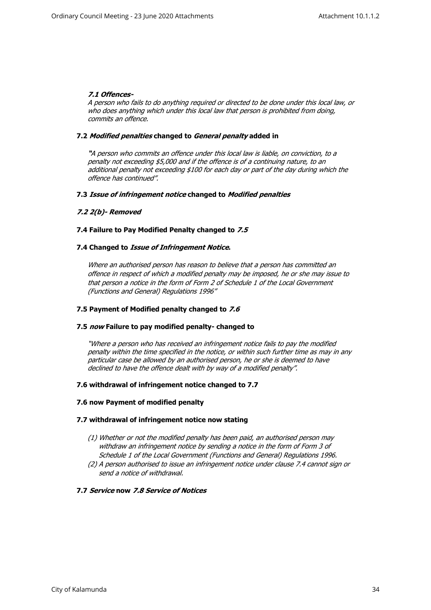# *7.1 Offences-*

*A person who fails to do anything required or directed to be done under this local law, or who does anything which under this local law that person is prohibited from doing, commits an offence.*

# **7.2** *Modified penalties* **changed to** *General penalty* **added in**

*"A person who commits an offence under this local law is liable, on conviction, to a penalty not exceeding \$5,000 and if the offence is of a continuing nature, to an additional penalty not exceeding \$100 for each day or part of the day during which the offence has continued".*

### **7.3** *Issue of infringement notice* **changed to** *Modified penalties*

# *7.2 2(b)- Removed*

# **7.4 Failure to Pay Modified Penalty changed to** *7.5*

# **7.4 Changed to** *Issue of Infringement Notice***.**

*Where an authorised person has reason to believe that a person has committed an offence in respect of which a modified penalty may be imposed, he or she may issue to that person a notice in the form of Form 2 of Schedule 1 of the Local Government (Functions and General) Regulations 1996"*

### **7.5 Payment of Modified penalty changed to** *7.6*

### **7.5** *now* **Failure to pay modified penalty- changed to**

*"Where a person who has received an infringement notice fails to pay the modified penalty within the time specified in the notice, or within such further time as may in any particular case be allowed by an authorised person, he or she is deemed to have declined to have the offence dealt with by way of a modified penalty".*

### **7.6 withdrawal of infringement notice changed to 7.7**

### **7.6 now Payment of modified penalty**

### **7.7 withdrawal of infringement notice now stating**

- *(1) Whether or not the modified penalty has been paid, an authorised person may withdraw an infringement notice by sending a notice in the form of Form 3 of Schedule 1 of the Local Government (Functions and General) Regulations 1996.*
- *(2) A person authorised to issue an infringement notice under clause 7.4 cannot sign or send a notice of withdrawal.*

### **7.7** *Service* **now** *7.8 Service of Notices*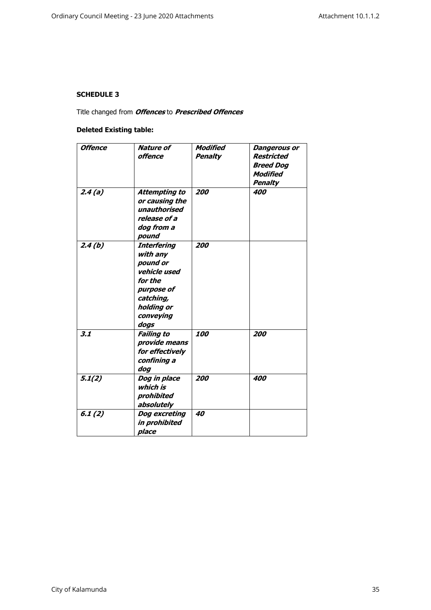# **SCHEDULE 3**

Title changed from *Offences* to *Prescribed Offences*

# **Deleted Existing table:**

| <b>Offence</b> | Nature of<br>offence                                                                                                                | Modified<br><b>Penalty</b> | <b>Dangerous or</b><br><b>Restricted</b>       |  |
|----------------|-------------------------------------------------------------------------------------------------------------------------------------|----------------------------|------------------------------------------------|--|
|                |                                                                                                                                     |                            | <b>Breed Dog</b><br>Modified<br><b>Penalty</b> |  |
| 2.4(a)         | <b>Attempting to</b><br>or causing the<br>unauthorised<br>release of a<br>dog from a<br>pound                                       | 200                        | 400                                            |  |
| 2.4(b)         | <b>Interfering</b><br>with any<br>pound or<br>vehicle used<br>for the<br>purpose of<br>catching,<br>holding or<br>conveying<br>dogs | 200                        |                                                |  |
| 3.1            | <b>Failing to</b><br>provide means<br>for effectively<br>confining a<br>dog                                                         | 100                        | 200                                            |  |
| 5.1(2)         | Dog in place<br>which is<br>prohibited<br>absolutely                                                                                | 200                        | 400                                            |  |
| 6.1(2)         | Dog excreting<br>in prohibited<br>place                                                                                             | 40                         |                                                |  |